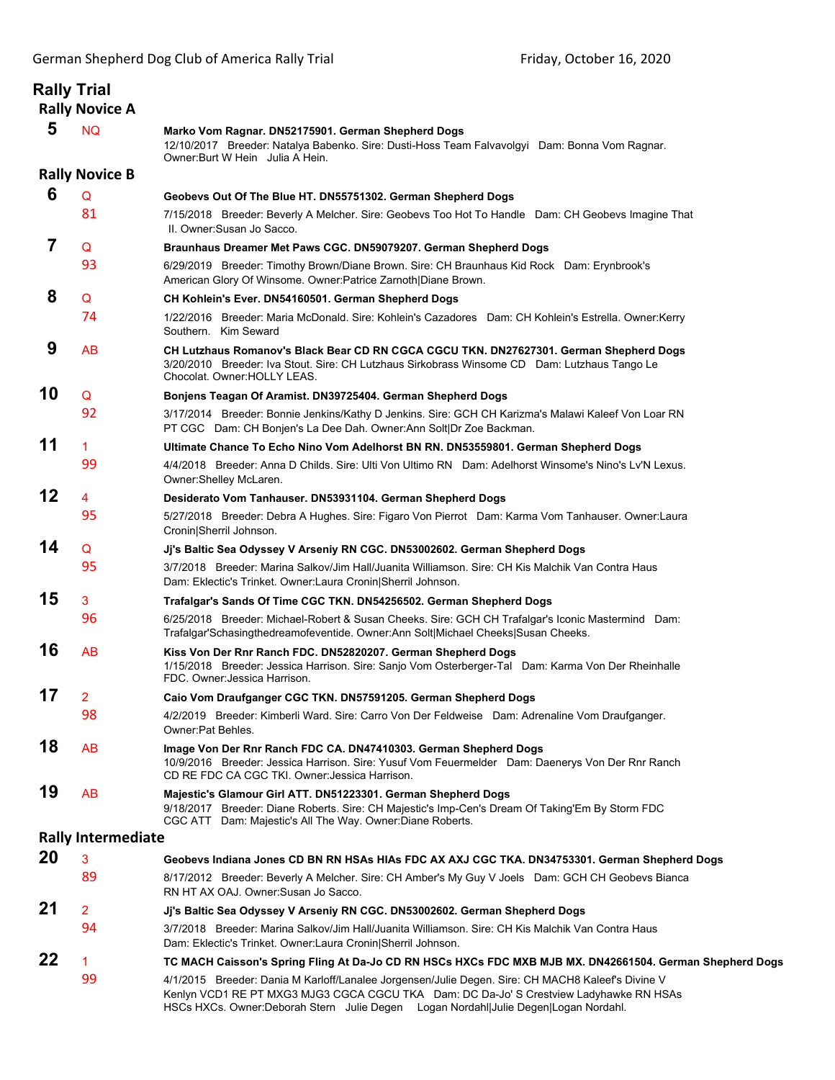|    | <b>Rally Trial</b><br><b>Rally Novice A</b> |                                                                                                                                                                                                                                                                                    |
|----|---------------------------------------------|------------------------------------------------------------------------------------------------------------------------------------------------------------------------------------------------------------------------------------------------------------------------------------|
| 5  | <b>NQ</b>                                   | Marko Vom Ragnar. DN52175901. German Shepherd Dogs<br>12/10/2017 Breeder: Natalya Babenko. Sire: Dusti-Hoss Team Falvavolgyi Dam: Bonna Vom Ragnar.<br>Owner: Burt W Hein Julia A Hein.                                                                                            |
|    | <b>Rally Novice B</b>                       |                                                                                                                                                                                                                                                                                    |
| 6  | Q                                           | Geobevs Out Of The Blue HT. DN55751302. German Shepherd Dogs                                                                                                                                                                                                                       |
|    | 81                                          | 7/15/2018 Breeder: Beverly A Melcher. Sire: Geobevs Too Hot To Handle Dam: CH Geobevs Imagine That<br>II. Owner: Susan Jo Sacco.                                                                                                                                                   |
| 7  | Q                                           | Braunhaus Dreamer Met Paws CGC. DN59079207. German Shepherd Dogs                                                                                                                                                                                                                   |
|    | 93                                          | 6/29/2019 Breeder: Timothy Brown/Diane Brown. Sire: CH Braunhaus Kid Rock Dam: Erynbrook's<br>American Glory Of Winsome. Owner: Patrice Zarnoth   Diane Brown.                                                                                                                     |
| 8  | Q                                           | CH Kohlein's Ever. DN54160501. German Shepherd Dogs                                                                                                                                                                                                                                |
|    | 74                                          | 1/22/2016 Breeder: Maria McDonald. Sire: Kohlein's Cazadores Dam: CH Kohlein's Estrella. Owner:Kerry<br>Southern. Kim Seward                                                                                                                                                       |
| 9  | <b>AB</b>                                   | CH Lutzhaus Romanov's Black Bear CD RN CGCA CGCU TKN. DN27627301. German Shepherd Dogs<br>3/20/2010 Breeder: Iva Stout. Sire: CH Lutzhaus Sirkobrass Winsome CD Dam: Lutzhaus Tango Le<br>Chocolat. Owner: HOLLY LEAS.                                                             |
| 10 | Q                                           | Bonjens Teagan Of Aramist. DN39725404. German Shepherd Dogs                                                                                                                                                                                                                        |
|    | 92                                          | 3/17/2014 Breeder: Bonnie Jenkins/Kathy D Jenkins. Sire: GCH CH Karizma's Malawi Kaleef Von Loar RN<br>PT CGC Dam: CH Bonjen's La Dee Dah. Owner:Ann Solt Dr Zoe Backman.                                                                                                          |
| 11 | $\mathbf{1}$                                | Ultimate Chance To Echo Nino Vom Adelhorst BN RN. DN53559801. German Shepherd Dogs                                                                                                                                                                                                 |
|    | 99                                          | 4/4/2018 Breeder: Anna D Childs. Sire: Ulti Von Ultimo RN Dam: Adelhorst Winsome's Nino's Ly'N Lexus.<br>Owner:Shelley McLaren.                                                                                                                                                    |
| 12 | 4                                           | Desiderato Vom Tanhauser. DN53931104. German Shepherd Dogs                                                                                                                                                                                                                         |
|    | 95                                          | 5/27/2018 Breeder: Debra A Hughes. Sire: Figaro Von Pierrot Dam: Karma Vom Tanhauser. Owner: Laura<br>Cronin Sherril Johnson.                                                                                                                                                      |
| 14 | Q                                           | Jj's Baltic Sea Odyssey V Arseniy RN CGC. DN53002602. German Shepherd Dogs                                                                                                                                                                                                         |
|    | 95                                          | 3/7/2018 Breeder: Marina Salkov/Jim Hall/Juanita Williamson, Sire: CH Kis Malchik Van Contra Haus<br>Dam: Eklectic's Trinket. Owner: Laura Cronin Sherril Johnson.                                                                                                                 |
| 15 | 3                                           | Trafalgar's Sands Of Time CGC TKN. DN54256502. German Shepherd Dogs                                                                                                                                                                                                                |
|    | 96                                          | 6/25/2018 Breeder: Michael-Robert & Susan Cheeks. Sire: GCH CH Trafalgar's Iconic Mastermind Dam:<br>Trafalgar'Schasingthedreamofeventide. Owner:Ann Solt Michael Cheeks Susan Cheeks.                                                                                             |
| 16 | AB                                          | Kiss Von Der Rnr Ranch FDC. DN52820207. German Shepherd Dogs<br>1/15/2018 Breeder: Jessica Harrison. Sire: Sanjo Vom Osterberger-Tal Dam: Karma Von Der Rheinhalle<br>FDC. Owner: Jessica Harrison.                                                                                |
| 17 | 2                                           | Caio Vom Draufganger CGC TKN. DN57591205. German Shepherd Dogs                                                                                                                                                                                                                     |
|    | 98                                          | 4/2/2019 Breeder: Kimberli Ward. Sire: Carro Von Der Feldweise Dam: Adrenaline Vom Draufganger.<br>Owner: Pat Behles.                                                                                                                                                              |
| 18 | AB                                          | Image Von Der Rnr Ranch FDC CA. DN47410303. German Shepherd Dogs<br>10/9/2016 Breeder: Jessica Harrison. Sire: Yusuf Vom Feuermelder Dam: Daenerys Von Der Rnr Ranch<br>CD RE FDC CA CGC TKI. Owner: Jessica Harrison.                                                             |
| 19 | <b>AB</b>                                   | Majestic's Glamour Girl ATT. DN51223301. German Shepherd Dogs<br>9/18/2017 Breeder: Diane Roberts. Sire: CH Majestic's Imp-Cen's Dream Of Taking'Em By Storm FDC<br>CGC ATT Dam: Majestic's All The Way. Owner: Diane Roberts.                                                     |
|    | <b>Rally Intermediate</b>                   |                                                                                                                                                                                                                                                                                    |
| 20 | 3                                           | Geobevs Indiana Jones CD BN RN HSAs HIAs FDC AX AXJ CGC TKA. DN34753301. German Shepherd Dogs                                                                                                                                                                                      |
|    | 89                                          | 8/17/2012 Breeder: Beverly A Melcher. Sire: CH Amber's My Guy V Joels Dam: GCH CH Geobevs Bianca<br>RN HT AX OAJ. Owner: Susan Jo Sacco.                                                                                                                                           |
| 21 | $\overline{2}$                              | Jj's Baltic Sea Odyssey V Arseniy RN CGC. DN53002602. German Shepherd Dogs                                                                                                                                                                                                         |
|    | 94                                          | 3/7/2018 Breeder: Marina Salkov/Jim Hall/Juanita Williamson. Sire: CH Kis Malchik Van Contra Haus<br>Dam: Eklectic's Trinket. Owner: Laura Cronin Sherril Johnson.                                                                                                                 |
| 22 | 1                                           | TC MACH Caisson's Spring Fling At Da-Jo CD RN HSCs HXCs FDC MXB MJB MX. DN42661504. German Shepherd Dogs                                                                                                                                                                           |
|    | 99                                          | 4/1/2015 Breeder: Dania M Karloff/Lanalee Jorgensen/Julie Degen. Sire: CH MACH8 Kaleef's Divine V<br>Kenlyn VCD1 RE PT MXG3 MJG3 CGCA CGCU TKA Dam: DC Da-Jo' S Crestview Ladyhawke RN HSAs<br>HSCs HXCs. Owner:Deborah Stern Julie Degen Logan Nordahl Julie Degen Logan Nordahl. |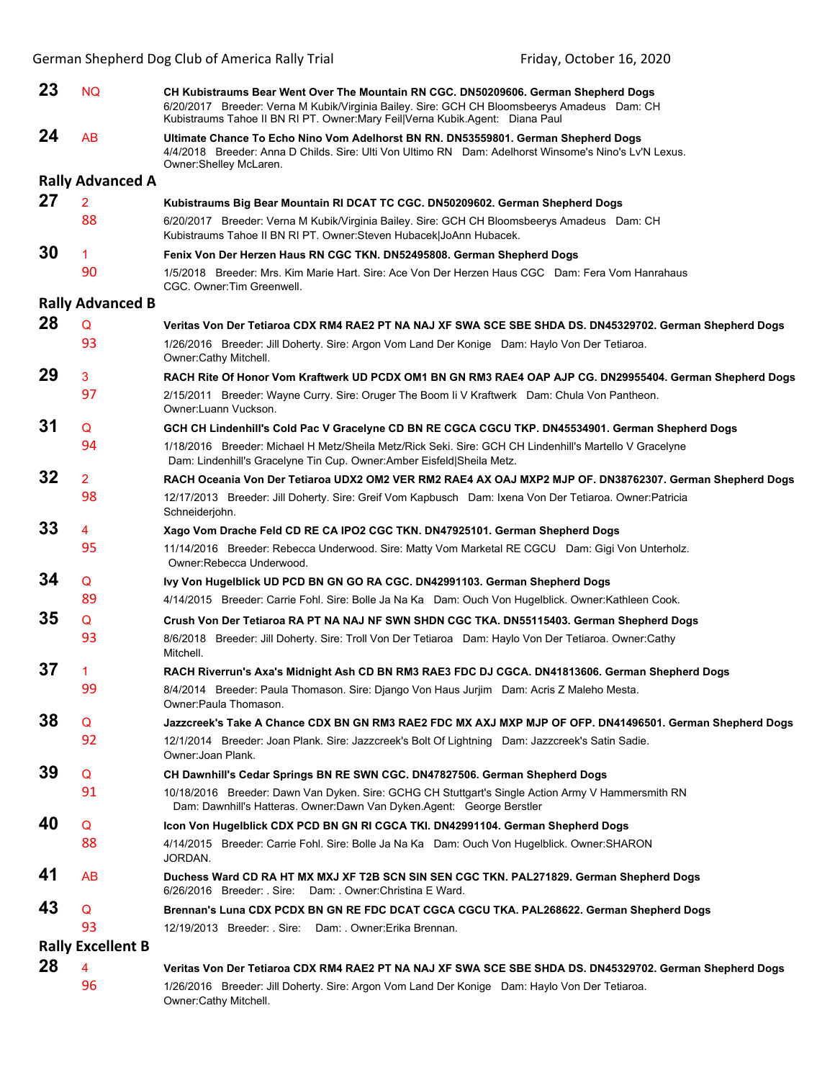| 23                       | <b>NQ</b>               | CH Kubistraums Bear Went Over The Mountain RN CGC. DN50209606. German Shepherd Dogs<br>6/20/2017 Breeder: Verna M Kubik/Virginia Bailey. Sire: GCH CH Bloomsbeerys Amadeus Dam: CH<br>Kubistraums Tahoe II BN RI PT. Owner: Mary Feil Verna Kubik. Agent: Diana Paul |  |  |  |
|--------------------------|-------------------------|----------------------------------------------------------------------------------------------------------------------------------------------------------------------------------------------------------------------------------------------------------------------|--|--|--|
| 24                       | AB                      | Ultimate Chance To Echo Nino Vom Adelhorst BN RN. DN53559801. German Shepherd Dogs<br>4/4/2018 Breeder: Anna D Childs. Sire: Ulti Von Ultimo RN Dam: Adelhorst Winsome's Nino's Lv'N Lexus.<br>Owner:Shelley McLaren.                                                |  |  |  |
|                          | <b>Rally Advanced A</b> |                                                                                                                                                                                                                                                                      |  |  |  |
| 27                       | $\overline{2}$          | Kubistraums Big Bear Mountain RI DCAT TC CGC. DN50209602. German Shepherd Dogs                                                                                                                                                                                       |  |  |  |
|                          | 88                      | 6/20/2017 Breeder: Verna M Kubik/Virginia Bailey. Sire: GCH CH Bloomsbeerys Amadeus Dam: CH<br>Kubistraums Tahoe II BN RI PT. Owner: Steven Hubacek JoAnn Hubacek.                                                                                                   |  |  |  |
| 30                       | 1.                      | Fenix Von Der Herzen Haus RN CGC TKN. DN52495808. German Shepherd Dogs                                                                                                                                                                                               |  |  |  |
|                          | 90                      | 1/5/2018 Breeder: Mrs. Kim Marie Hart. Sire: Ace Von Der Herzen Haus CGC Dam: Fera Vom Hanrahaus<br>CGC. Owner: Tim Greenwell.                                                                                                                                       |  |  |  |
|                          | <b>Rally Advanced B</b> |                                                                                                                                                                                                                                                                      |  |  |  |
| 28                       | Q                       | Veritas Von Der Tetiaroa CDX RM4 RAE2 PT NA NAJ XF SWA SCE SBE SHDA DS. DN45329702. German Shepherd Dogs                                                                                                                                                             |  |  |  |
|                          | 93                      | 1/26/2016 Breeder: Jill Doherty. Sire: Argon Vom Land Der Konige Dam: Haylo Von Der Tetiaroa.<br>Owner:Cathy Mitchell.                                                                                                                                               |  |  |  |
| 29                       | 3                       | RACH Rite Of Honor Vom Kraftwerk UD PCDX OM1 BN GN RM3 RAE4 OAP AJP CG. DN29955404. German Shepherd Dogs                                                                                                                                                             |  |  |  |
|                          | 97                      | 2/15/2011 Breeder: Wayne Curry. Sire: Oruger The Boom li V Kraftwerk Dam: Chula Von Pantheon.<br>Owner:Luann Vuckson.                                                                                                                                                |  |  |  |
| 31                       | Q                       | GCH CH Lindenhill's Cold Pac V Gracelyne CD BN RE CGCA CGCU TKP. DN45534901. German Shepherd Dogs                                                                                                                                                                    |  |  |  |
|                          | 94                      | 1/18/2016 Breeder: Michael H Metz/Sheila Metz/Rick Seki. Sire: GCH CH Lindenhill's Martello V Gracelyne<br>Dam: Lindenhill's Gracelyne Tin Cup. Owner:Amber Eisfeld Sheila Metz.                                                                                     |  |  |  |
| 32                       | 2                       | RACH Oceania Von Der Tetiaroa UDX2 OM2 VER RM2 RAE4 AX OAJ MXP2 MJP OF. DN38762307. German Shepherd Dogs                                                                                                                                                             |  |  |  |
|                          | 98                      | 12/17/2013 Breeder: Jill Doherty. Sire: Greif Vom Kapbusch Dam: Ixena Von Der Tetiaroa. Owner: Patricia<br>Schneiderjohn.                                                                                                                                            |  |  |  |
| 33                       | 4                       | Xago Vom Drache Feld CD RE CA IPO2 CGC TKN. DN47925101. German Shepherd Dogs                                                                                                                                                                                         |  |  |  |
|                          | 95                      | 11/14/2016 Breeder: Rebecca Underwood. Sire: Matty Vom Marketal RE CGCU Dam: Gigi Von Unterholz.<br>Owner: Rebecca Underwood.                                                                                                                                        |  |  |  |
| 34                       | Q                       | Ivy Von Hugelblick UD PCD BN GN GO RA CGC. DN42991103. German Shepherd Dogs                                                                                                                                                                                          |  |  |  |
|                          | 89                      | 4/14/2015 Breeder: Carrie Fohl. Sire: Bolle Ja Na Ka Dam: Ouch Von Hugelblick. Owner: Kathleen Cook.                                                                                                                                                                 |  |  |  |
| 35                       | Q                       | Crush Von Der Tetiaroa RA PT NA NAJ NF SWN SHDN CGC TKA. DN55115403. German Shepherd Dogs                                                                                                                                                                            |  |  |  |
|                          | 93                      | 8/6/2018 Breeder: Jill Doherty. Sire: Troll Von Der Tetiaroa Dam: Haylo Von Der Tetiaroa. Owner:Cathy<br>Mitchell.                                                                                                                                                   |  |  |  |
| 37                       |                         | RACH Riverrun's Axa's Midnight Ash CD BN RM3 RAE3 FDC DJ CGCA. DN41813606. German Shepherd Dogs                                                                                                                                                                      |  |  |  |
|                          | 99                      | 8/4/2014 Breeder: Paula Thomason. Sire: Django Von Haus Jurjim Dam: Acris Z Maleho Mesta.<br>Owner: Paula Thomason.                                                                                                                                                  |  |  |  |
| 38                       | Q                       | Jazzcreek's Take A Chance CDX BN GN RM3 RAE2 FDC MX AXJ MXP MJP OF OFP. DN41496501. German Shepherd Dogs                                                                                                                                                             |  |  |  |
|                          | 92                      | 12/1/2014 Breeder: Joan Plank. Sire: Jazzcreek's Bolt Of Lightning Dam: Jazzcreek's Satin Sadie.<br>Owner: Joan Plank.                                                                                                                                               |  |  |  |
| 39                       | Q                       | CH Dawnhill's Cedar Springs BN RE SWN CGC. DN47827506. German Shepherd Dogs                                                                                                                                                                                          |  |  |  |
|                          | 91                      | 10/18/2016 Breeder: Dawn Van Dyken. Sire: GCHG CH Stuttgart's Single Action Army V Hammersmith RN<br>Dam: Dawnhill's Hatteras. Owner: Dawn Van Dyken. Agent: George Berstler                                                                                         |  |  |  |
| 40                       | Q                       | Icon Von Hugelblick CDX PCD BN GN RI CGCA TKI. DN42991104. German Shepherd Dogs                                                                                                                                                                                      |  |  |  |
|                          | 88                      | 4/14/2015 Breeder: Carrie Fohl. Sire: Bolle Ja Na Ka Dam: Ouch Von Hugelblick. Owner: SHARON<br>JORDAN.                                                                                                                                                              |  |  |  |
| 41                       | AB                      | Duchess Ward CD RA HT MX MXJ XF T2B SCN SIN SEN CGC TKN. PAL271829. German Shepherd Dogs<br>6/26/2016 Breeder: . Sire: Dam: . Owner: Christina E Ward.                                                                                                               |  |  |  |
| 43                       | Q                       | Brennan's Luna CDX PCDX BN GN RE FDC DCAT CGCA CGCU TKA. PAL268622. German Shepherd Dogs                                                                                                                                                                             |  |  |  |
|                          | 93                      | 12/19/2013 Breeder: Sire: Dam: Owner: Erika Brennan.                                                                                                                                                                                                                 |  |  |  |
| <b>Rally Excellent B</b> |                         |                                                                                                                                                                                                                                                                      |  |  |  |
| 28                       | 4                       | Veritas Von Der Tetiaroa CDX RM4 RAE2 PT NA NAJ XF SWA SCE SBE SHDA DS. DN45329702. German Shepherd Dogs                                                                                                                                                             |  |  |  |
|                          | 96                      | 1/26/2016 Breeder: Jill Doherty. Sire: Argon Vom Land Der Konige Dam: Haylo Von Der Tetiaroa.<br>Owner:Cathy Mitchell.                                                                                                                                               |  |  |  |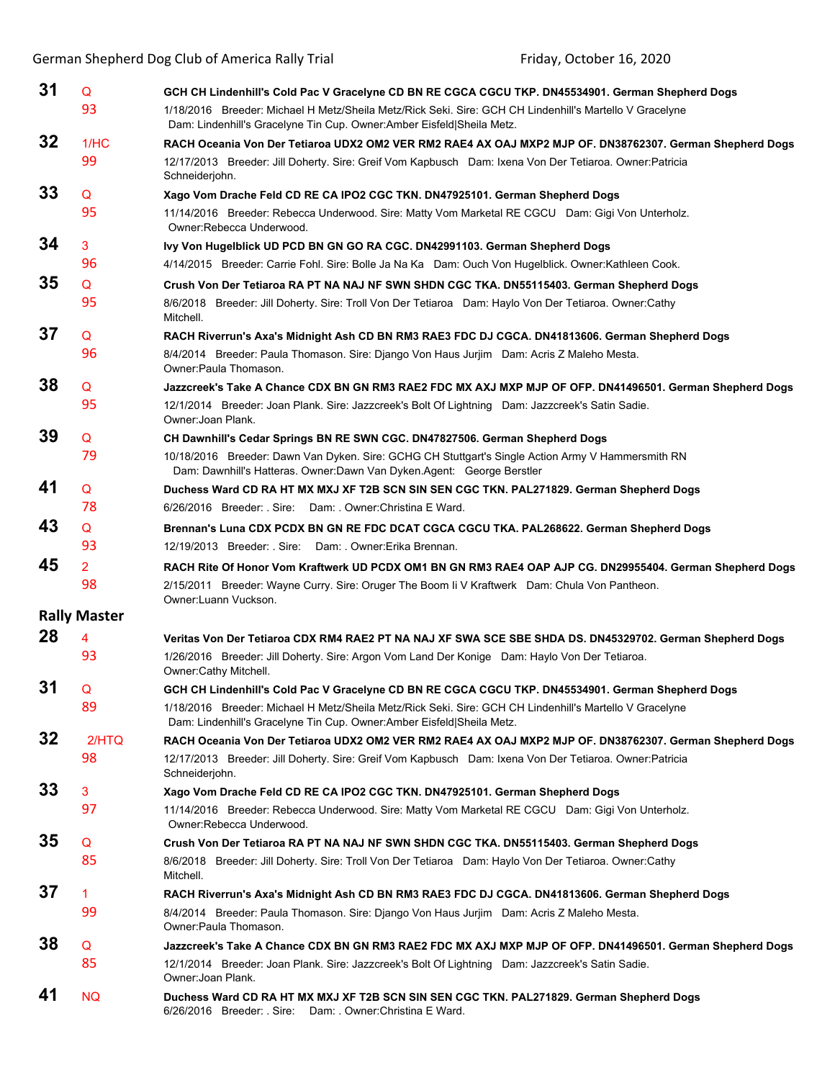| 31 | Q                   | GCH CH Lindenhill's Cold Pac V Gracelyne CD BN RE CGCA CGCU TKP. DN45534901. German Shepherd Dogs                                                                                                               |
|----|---------------------|-----------------------------------------------------------------------------------------------------------------------------------------------------------------------------------------------------------------|
|    | 93                  | 1/18/2016 Breeder: Michael H Metz/Sheila Metz/Rick Seki. Sire: GCH CH Lindenhill's Martello V Gracelyne<br>Dam: Lindenhill's Gracelyne Tin Cup. Owner:Amber Eisfeld Sheila Metz.                                |
| 32 | 1/HC                | RACH Oceania Von Der Tetiaroa UDX2 OM2 VER RM2 RAE4 AX OAJ MXP2 MJP OF. DN38762307. German Shepherd Dogs                                                                                                        |
|    | 99                  | 12/17/2013 Breeder: Jill Doherty. Sire: Greif Vom Kapbusch Dam: Ixena Von Der Tetiaroa. Owner: Patricia<br>Schneiderjohn.                                                                                       |
| 33 | Q                   | Xago Vom Drache Feld CD RE CA IPO2 CGC TKN. DN47925101. German Shepherd Dogs                                                                                                                                    |
|    | 95                  | 11/14/2016 Breeder: Rebecca Underwood. Sire: Matty Vom Marketal RE CGCU Dam: Gigi Von Unterholz.<br>Owner:Rebecca Underwood.                                                                                    |
| 34 | 3                   | Ivy Von Hugelblick UD PCD BN GN GO RA CGC. DN42991103. German Shepherd Dogs                                                                                                                                     |
|    | 96                  | 4/14/2015 Breeder: Carrie Fohl. Sire: Bolle Ja Na Ka Dam: Ouch Von Hugelblick. Owner: Kathleen Cook.                                                                                                            |
| 35 | Q<br>95             | Crush Von Der Tetiaroa RA PT NA NAJ NF SWN SHDN CGC TKA. DN55115403. German Shepherd Dogs<br>8/6/2018 Breeder: Jill Doherty. Sire: Troll Von Der Tetiaroa Dam: Haylo Von Der Tetiaroa. Owner:Cathy<br>Mitchell. |
| 37 | Q                   | RACH Riverrun's Axa's Midnight Ash CD BN RM3 RAE3 FDC DJ CGCA. DN41813606. German Shepherd Dogs                                                                                                                 |
|    | 96                  | 8/4/2014 Breeder: Paula Thomason. Sire: Django Von Haus Jurjim Dam: Acris Z Maleho Mesta.<br>Owner: Paula Thomason.                                                                                             |
| 38 | Q                   | Jazzcreek's Take A Chance CDX BN GN RM3 RAE2 FDC MX AXJ MXP MJP OF OFP. DN41496501. German Shepherd Dogs                                                                                                        |
|    | 95                  | 12/1/2014 Breeder: Joan Plank. Sire: Jazzcreek's Bolt Of Lightning Dam: Jazzcreek's Satin Sadie.<br>Owner: Joan Plank.                                                                                          |
| 39 | Q                   | CH Dawnhill's Cedar Springs BN RE SWN CGC. DN47827506. German Shepherd Dogs                                                                                                                                     |
|    | 79                  | 10/18/2016 Breeder: Dawn Van Dyken. Sire: GCHG CH Stuttgart's Single Action Army V Hammersmith RN<br>Dam: Dawnhill's Hatteras. Owner: Dawn Van Dyken. Agent: George Berstler                                    |
| 41 | Q                   | Duchess Ward CD RA HT MX MXJ XF T2B SCN SIN SEN CGC TKN. PAL271829. German Shepherd Dogs                                                                                                                        |
|    | 78                  | 6/26/2016 Breeder: Sire: Dam: Owner: Christina E Ward.                                                                                                                                                          |
| 43 | Q                   | Brennan's Luna CDX PCDX BN GN RE FDC DCAT CGCA CGCU TKA. PAL268622. German Shepherd Dogs                                                                                                                        |
|    | 93                  | 12/19/2013 Breeder: . Sire: Dam: . Owner: Erika Brennan.                                                                                                                                                        |
| 45 | $\overline{2}$      | RACH Rite Of Honor Vom Kraftwerk UD PCDX OM1 BN GN RM3 RAE4 OAP AJP CG. DN29955404. German Shepherd Dogs                                                                                                        |
|    | 98                  | 2/15/2011 Breeder: Wayne Curry. Sire: Oruger The Boom li V Kraftwerk Dam: Chula Von Pantheon.<br>Owner:Luann Vuckson.                                                                                           |
|    | <b>Rally Master</b> |                                                                                                                                                                                                                 |
| 28 | 4                   | Veritas Von Der Tetiaroa CDX RM4 RAE2 PT NA NAJ XF SWA SCE SBE SHDA DS. DN45329702. German Shepherd Dogs                                                                                                        |
|    | 93                  | 1/26/2016 Breeder: Jill Doherty. Sire: Argon Vom Land Der Konige Dam: Haylo Von Der Tetiaroa.<br>Owner:Cathy Mitchell.                                                                                          |
| 31 | Q                   | GCH CH Lindenhill's Cold Pac V Gracelyne CD BN RE CGCA CGCU TKP. DN45534901. German Shepherd Dogs                                                                                                               |
|    | 89                  | 1/18/2016 Breeder: Michael H Metz/Sheila Metz/Rick Seki. Sire: GCH CH Lindenhill's Martello V Gracelyne<br>Dam: Lindenhill's Gracelyne Tin Cup. Owner: Amber Eisfeld Sheila Metz.                               |
| 32 | 2/HTO               | RACH Oceania Von Der Tetiaroa UDX2 OM2 VER RM2 RAE4 AX OAJ MXP2 MJP OF. DN38762307. German Shepherd Dogs                                                                                                        |
|    | 98                  | 12/17/2013 Breeder: Jill Doherty. Sire: Greif Vom Kapbusch Dam: Ixena Von Der Tetiaroa. Owner: Patricia<br>Schneiderjohn.                                                                                       |
| 33 | 3                   | Xago Vom Drache Feld CD RE CA IPO2 CGC TKN. DN47925101. German Shepherd Dogs                                                                                                                                    |
|    | 97                  | 11/14/2016 Breeder: Rebecca Underwood. Sire: Matty Vom Marketal RE CGCU Dam: Gigi Von Unterholz.<br>Owner:Rebecca Underwood.                                                                                    |
| 35 | Q                   | Crush Von Der Tetiaroa RA PT NA NAJ NF SWN SHDN CGC TKA. DN55115403. German Shepherd Dogs                                                                                                                       |
|    | 85                  | 8/6/2018 Breeder: Jill Doherty. Sire: Troll Von Der Tetiaroa Dam: Haylo Von Der Tetiaroa. Owner:Cathy<br>Mitchell.                                                                                              |
| 37 | $\mathbf 1$         | RACH Riverrun's Axa's Midnight Ash CD BN RM3 RAE3 FDC DJ CGCA. DN41813606. German Shepherd Dogs                                                                                                                 |
|    | 99                  | 8/4/2014 Breeder: Paula Thomason. Sire: Django Von Haus Jurjim Dam: Acris Z Maleho Mesta.<br>Owner: Paula Thomason.                                                                                             |
| 38 | Q                   | Jazzcreek's Take A Chance CDX BN GN RM3 RAE2 FDC MX AXJ MXP MJP OF OFP. DN41496501. German Shepherd Dogs                                                                                                        |
|    | 85                  | 12/1/2014 Breeder: Joan Plank. Sire: Jazzcreek's Bolt Of Lightning Dam: Jazzcreek's Satin Sadie.<br>Owner: Joan Plank.                                                                                          |
| 41 | <b>NQ</b>           | Duchess Ward CD RA HT MX MXJ XF T2B SCN SIN SEN CGC TKN. PAL271829. German Shepherd Dogs<br>6/26/2016 Breeder: . Sire: Dam: . Owner: Christina E Ward.                                                          |